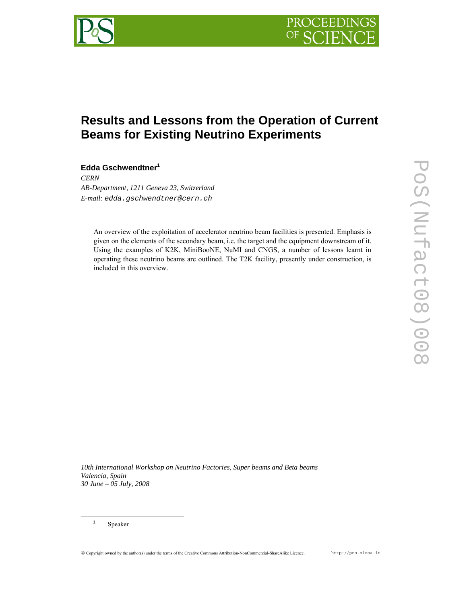

# **Results and Lessons from the Operation of Current Beams for Existing Neutrino Experiments**

## **Edda Gschwendtner1**

*CERN AB-Department, 1211 Geneva 23, Switzerland E-mail: edda.gschwendtner@cern.ch* 

An overview of the exploitation of accelerator neutrino beam facilities is presented. Emphasis is given on the elements of the secondary beam, i.e. the target and the equipment downstream of it. Using the examples of K2K, MiniBooNE, NuMI and CNGS, a number of lessons learnt in operating these neutrino beams are outlined. The T2K facility, presently under construction, is included in this overview.

*10th International Workshop on Neutrino Factories, Super beams and Beta beams Valencia, Spain 30 June – 05 July, 2008*

 <sup>1</sup> Speaker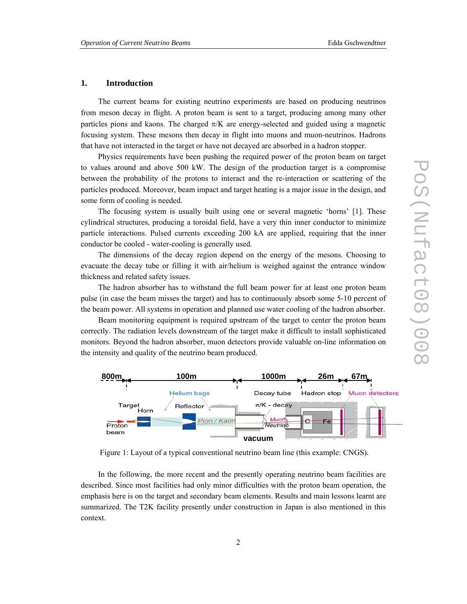## **1. Introduction**

The current beams for existing neutrino experiments are based on producing neutrinos from meson decay in flight. A proton beam is sent to a target, producing among many other particles pions and kaons. The charged  $\pi/K$  are energy-selected and guided using a magnetic focusing system. These mesons then decay in flight into muons and muon-neutrinos. Hadrons that have not interacted in the target or have not decayed are absorbed in a hadron stopper.

Physics requirements have been pushing the required power of the proton beam on target to values around and above 500 kW. The design of the production target is a compromise between the probability of the protons to interact and the re-interaction or scattering of the particles produced. Moreover, beam impact and target heating is a major issue in the design, and some form of cooling is needed.

The focusing system is usually built using one or several magnetic 'horns' [1]. These cylindrical structures, producing a toroidal field, have a very thin inner conductor to minimize particle interactions. Pulsed currents exceeding 200 kA are applied, requiring that the inner conductor be cooled - water-cooling is generally used.

The dimensions of the decay region depend on the energy of the mesons. Choosing to evacuate the decay tube or filling it with air/helium is weighed against the entrance window thickness and related safety issues.

The hadron absorber has to withstand the full beam power for at least one proton beam pulse (in case the beam misses the target) and has to continuously absorb some 5-10 percent of the beam power. All systems in operation and planned use water cooling of the hadron absorber.

Beam monitoring equipment is required upstream of the target to center the proton beam correctly. The radiation levels downstream of the target make it difficult to install sophisticated monitors. Beyond the hadron absorber, muon detectors provide valuable on-line information on the intensity and quality of the neutrino beam produced.



Figure 1: Layout of a typical conventional neutrino beam line (this example: CNGS).

In the following, the more recent and the presently operating neutrino beam facilities are described. Since most facilities had only minor difficulties with the proton beam operation, the emphasis here is on the target and secondary beam elements. Results and main lessons learnt are summarized. The T2K facility presently under construction in Japan is also mentioned in this context.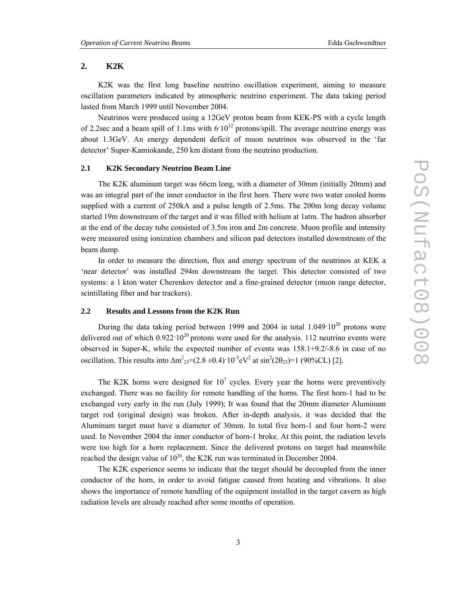## **2. K2K**

K2K was the first long baseline neutrino oscillation experiment, aiming to measure oscillation parameters indicated by atmospheric neutrino experiment. The data taking period lasted from March 1999 until November 2004.

Neutrinos were produced using a 12GeV proton beam from KEK-PS with a cycle length of 2.2sec and a beam spill of 1.1ms with  $6.10^{12}$  protons/spill. The average neutrino energy was about 1.3GeV. An energy dependent deficit of muon neutrinos was observed in the 'far detector' Super-Kamiokande, 250 km distant from the neutrino production.

## **2.1 K2K Secondary Neutrino Beam Line**

The K2K aluminum target was 66cm long, with a diameter of 30mm (initially 20mm) and was an integral part of the inner conductor in the first horn. There were two water cooled horns supplied with a current of 250kA and a pulse length of 2.5ms. The 200m long decay volume started 19m downstream of the target and it was filled with helium at 1atm. The hadron absorber at the end of the decay tube consisted of 3.5m iron and 2m concrete. Muon profile and intensity were measured using ionization chambers and silicon pad detectors installed downstream of the beam dump.

In order to measure the direction, flux and energy spectrum of the neutrinos at KEK a 'near detector' was installed 294m downstream the target. This detector consisted of two systems: a 1 kton water Cherenkov detector and a fine-grained detector (muon range detector, scintillating fiber and bar trackers).

## **2.2 Results and Lessons from the K2K Run**

During the data taking period between 1999 and 2004 in total  $1.049 \cdot 10^{20}$  protons were delivered out of which  $0.922 \cdot 10^{20}$  protons were used for the analysis. 112 neutrino events were observed in Super-K, while the expected number of events was 158.1+9.2/-8.6 in case of no oscillation. This results into  $\Delta m^{2}{}_{23}=(2.8 \pm 0.4) \cdot 10^{-3} eV^{2}$  at  $\sin^{2}(2\theta_{23})=1$  (90%CL) [2].

The K2K horns were designed for  $10^7$  cycles. Every year the horns were preventively exchanged. There was no facility for remote handling of the horns. The first horn-1 had to be exchanged very early in the run (July 1999); It was found that the 20mm diameter Aluminum target rod (original design) was broken. After in-depth analysis, it was decided that the Aluminum target must have a diameter of 30mm. In total five horn-1 and four horn-2 were used. In November 2004 the inner conductor of horn-1 broke. At this point, the radiation levels were too high for a horn replacement. Since the delivered protons on target had meanwhile reached the design value of  $10^{20}$ , the K2K run was terminated in December 2004.

The K2K experience seems to indicate that the target should be decoupled from the inner conductor of the horn, in order to avoid fatigue caused from heating and vibrations. It also shows the importance of remote handling of the equipment installed in the target cavern as high radiation levels are already reached after some months of operation.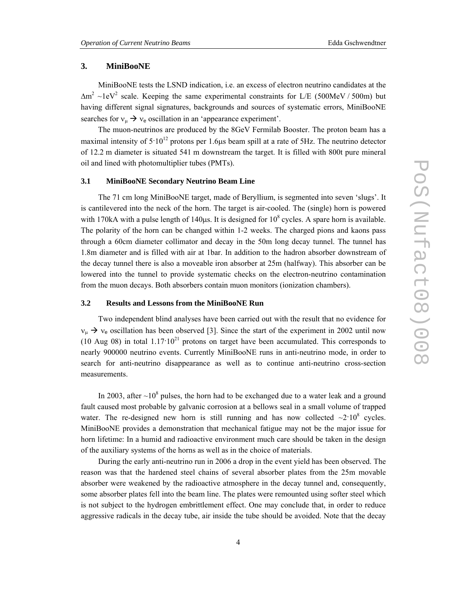## **3. MiniBooNE**

MiniBooNE tests the LSND indication, i.e. an excess of electron neutrino candidates at the  $\Delta m^2 \sim 1$ eV<sup>2</sup> scale. Keeping the same experimental constraints for L/E (500MeV / 500m) but having different signal signatures, backgrounds and sources of systematic errors, MiniBooNE searches for  $v_{\mu} \rightarrow v_{e}$  oscillation in an 'appearance experiment'.

The muon-neutrinos are produced by the 8GeV Fermilab Booster. The proton beam has a maximal intensity of  $5.10^{12}$  protons per 1.6 us beam spill at a rate of 5Hz. The neutrino detector of 12.2 m diameter is situated 541 m downstream the target. It is filled with 800t pure mineral oil and lined with photomultiplier tubes (PMTs).

## **3.1 MiniBooNE Secondary Neutrino Beam Line**

The 71 cm long MiniBooNE target, made of Beryllium, is segmented into seven 'slugs'. It is cantilevered into the neck of the horn. The target is air-cooled. The (single) horn is powered with 170kA with a pulse length of 140 $\mu$ s. It is designed for 10<sup>8</sup> cycles. A spare horn is available. The polarity of the horn can be changed within 1-2 weeks. The charged pions and kaons pass through a 60cm diameter collimator and decay in the 50m long decay tunnel. The tunnel has 1.8m diameter and is filled with air at 1bar. In addition to the hadron absorber downstream of the decay tunnel there is also a moveable iron absorber at 25m (halfway). This absorber can be lowered into the tunnel to provide systematic checks on the electron-neutrino contamination from the muon decays. Both absorbers contain muon monitors (ionization chambers).

## **3.2 Results and Lessons from the MiniBooNE Run**

Two independent blind analyses have been carried out with the result that no evidence for  $v_{\mu} \rightarrow v_{e}$  oscillation has been observed [3]. Since the start of the experiment in 2002 until now (10 Aug 08) in total  $1.17 \cdot 10^{21}$  protons on target have been accumulated. This corresponds to nearly 900000 neutrino events. Currently MiniBooNE runs in anti-neutrino mode, in order to search for anti-neutrino disappearance as well as to continue anti-neutrino cross-section measurements.

In 2003, after  $\sim 10^8$  pulses, the horn had to be exchanged due to a water leak and a ground fault caused most probable by galvanic corrosion at a bellows seal in a small volume of trapped water. The re-designed new horn is still running and has now collected  $\sim$ 2·10<sup>8</sup> cycles. MiniBooNE provides a demonstration that mechanical fatigue may not be the major issue for horn lifetime: In a humid and radioactive environment much care should be taken in the design of the auxiliary systems of the horns as well as in the choice of materials.

During the early anti-neutrino run in 2006 a drop in the event yield has been observed. The reason was that the hardened steel chains of several absorber plates from the 25m movable absorber were weakened by the radioactive atmosphere in the decay tunnel and, consequently, some absorber plates fell into the beam line. The plates were remounted using softer steel which is not subject to the hydrogen embrittlement effect. One may conclude that, in order to reduce aggressive radicals in the decay tube, air inside the tube should be avoided. Note that the decay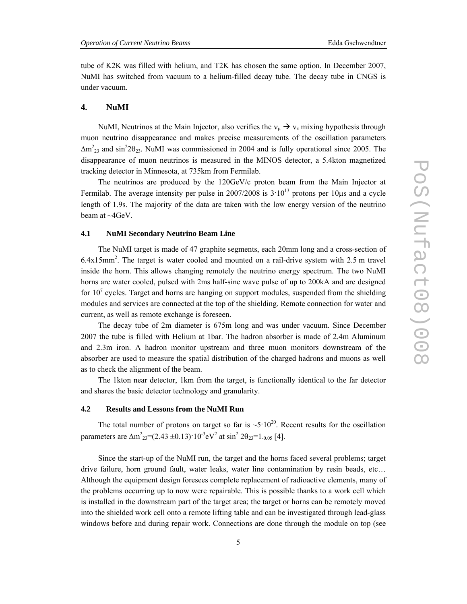tube of K2K was filled with helium, and T2K has chosen the same option. In December 2007, NuMI has switched from vacuum to a helium-filled decay tube. The decay tube in CNGS is under vacuum.

## **4. NuMI**

NuMI, Neutrinos at the Main Injector, also verifies the  $v_{\mu} \rightarrow v_{\tau}$  mixing hypothesis through muon neutrino disappearance and makes precise measurements of the oscillation parameters  $\Delta m^2_{23}$  and sin<sup>2</sup>20<sub>23</sub>. NuMI was commissioned in 2004 and is fully operational since 2005. The disappearance of muon neutrinos is measured in the MINOS detector, a 5.4kton magnetized tracking detector in Minnesota, at 735km from Fermilab.

The neutrinos are produced by the 120GeV/c proton beam from the Main Injector at Fermilab. The average intensity per pulse in  $2007/2008$  is  $3 \cdot 10^{13}$  protons per 10us and a cycle length of 1.9s. The majority of the data are taken with the low energy version of the neutrino beam at ~4GeV.

#### **4.1 NuMI Secondary Neutrino Beam Line**

The NuMI target is made of 47 graphite segments, each 20mm long and a cross-section of 6.4x15mm2 . The target is water cooled and mounted on a rail-drive system with 2.5 m travel inside the horn. This allows changing remotely the neutrino energy spectrum. The two NuMI horns are water cooled, pulsed with 2ms half-sine wave pulse of up to 200kA and are designed for  $10<sup>7</sup>$  cycles. Target and horns are hanging on support modules, suspended from the shielding modules and services are connected at the top of the shielding. Remote connection for water and current, as well as remote exchange is foreseen.

The decay tube of 2m diameter is 675m long and was under vacuum. Since December 2007 the tube is filled with Helium at 1bar. The hadron absorber is made of 2.4m Aluminum and 2.3m iron. A hadron monitor upstream and three muon monitors downstream of the absorber are used to measure the spatial distribution of the charged hadrons and muons as well as to check the alignment of the beam.

The 1kton near detector, 1km from the target, is functionally identical to the far detector and shares the basic detector technology and granularity.

#### **4.2 Results and Lessons from the NuMI Run**

The total number of protons on target so far is  $\sim 5 \cdot 10^{20}$ . Recent results for the oscillation parameters are  $\Delta m^{2}{}_{23} = (2.43 \pm 0.13) \cdot 10^{-3} eV^{2}$  at  $\sin^{2} 2\theta_{23} = 1_{-0.05}$  [4].

Since the start-up of the NuMI run, the target and the horns faced several problems; target drive failure, horn ground fault, water leaks, water line contamination by resin beads, etc… Although the equipment design foresees complete replacement of radioactive elements, many of the problems occurring up to now were repairable. This is possible thanks to a work cell which is installed in the downstream part of the target area; the target or horns can be remotely moved into the shielded work cell onto a remote lifting table and can be investigated through lead-glass windows before and during repair work. Connections are done through the module on top (see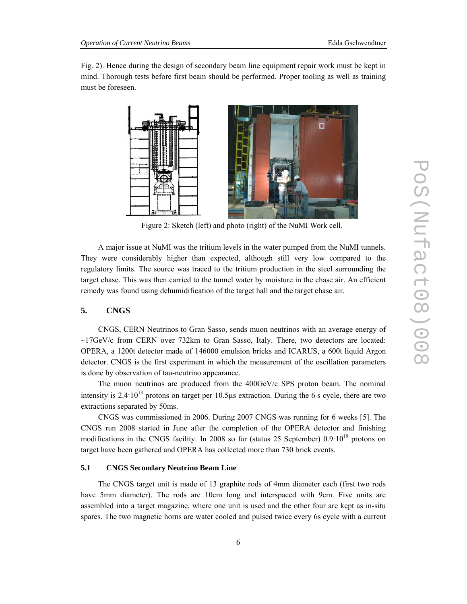Fig. 2). Hence during the design of secondary beam line equipment repair work must be kept in mind. Thorough tests before first beam should be performed. Proper tooling as well as training must be foreseen.



Figure 2: Sketch (left) and photo (right) of the NuMI Work cell.

A major issue at NuMI was the tritium levels in the water pumped from the NuMI tunnels. They were considerably higher than expected, although still very low compared to the regulatory limits. The source was traced to the tritium production in the steel surrounding the target chase. This was then carried to the tunnel water by moisture in the chase air. An efficient remedy was found using dehumidification of the target hall and the target chase air.

## **5. CNGS**

CNGS, CERN Neutrinos to Gran Sasso, sends muon neutrinos with an average energy of  $\sim$ 17GeV/c from CERN over 732km to Gran Sasso, Italy. There, two detectors are located: OPERA, a 1200t detector made of 146000 emulsion bricks and ICARUS, a 600t liquid Argon detector. CNGS is the first experiment in which the measurement of the oscillation parameters is done by observation of tau-neutrino appearance.

The muon neutrinos are produced from the 400GeV/c SPS proton beam. The nominal intensity is  $2.4 \cdot 10^{13}$  protons on target per 10.5μs extraction. During the 6 s cycle, there are two extractions separated by 50ms.

CNGS was commissioned in 2006. During 2007 CNGS was running for 6 weeks [5]. The CNGS run 2008 started in June after the completion of the OPERA detector and finishing modifications in the CNGS facility. In 2008 so far (status 25 September)  $0.9 \cdot 10^{19}$  protons on target have been gathered and OPERA has collected more than 730 brick events.

## **5.1 CNGS Secondary Neutrino Beam Line**

The CNGS target unit is made of 13 graphite rods of 4mm diameter each (first two rods have 5mm diameter). The rods are 10cm long and interspaced with 9cm. Five units are assembled into a target magazine, where one unit is used and the other four are kept as in-situ spares. The two magnetic horns are water cooled and pulsed twice every 6s cycle with a current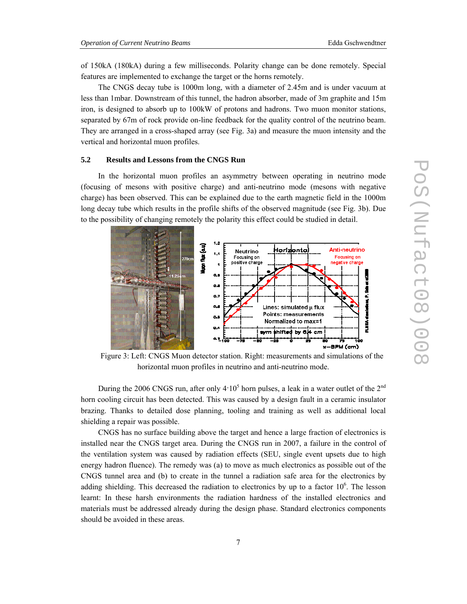of 150kA (180kA) during a few milliseconds. Polarity change can be done remotely. Special features are implemented to exchange the target or the horns remotely.

The CNGS decay tube is 1000m long, with a diameter of 2.45m and is under vacuum at less than 1mbar. Downstream of this tunnel, the hadron absorber, made of 3m graphite and 15m iron, is designed to absorb up to 100kW of protons and hadrons. Two muon monitor stations, separated by 67m of rock provide on-line feedback for the quality control of the neutrino beam. They are arranged in a cross-shaped array (see Fig. 3a) and measure the muon intensity and the vertical and horizontal muon profiles.

## **5.2 Results and Lessons from the CNGS Run**

In the horizontal muon profiles an asymmetry between operating in neutrino mode (focusing of mesons with positive charge) and anti-neutrino mode (mesons with negative charge) has been observed. This can be explained due to the earth magnetic field in the 1000m long decay tube which results in the profile shifts of the observed magnitude (see Fig. 3b). Due to the possibility of changing remotely the polarity this effect could be studied in detail.



Figure 3: Left: CNGS Muon detector station. Right: measurements and simulations of the horizontal muon profiles in neutrino and anti-neutrino mode.

During the 2006 CNGS run, after only  $4.10^5$  horn pulses, a leak in a water outlet of the  $2^{nd}$ horn cooling circuit has been detected. This was caused by a design fault in a ceramic insulator brazing. Thanks to detailed dose planning, tooling and training as well as additional local shielding a repair was possible.

CNGS has no surface building above the target and hence a large fraction of electronics is installed near the CNGS target area. During the CNGS run in 2007, a failure in the control of the ventilation system was caused by radiation effects (SEU, single event upsets due to high energy hadron fluence). The remedy was (a) to move as much electronics as possible out of the CNGS tunnel area and (b) to create in the tunnel a radiation safe area for the electronics by adding shielding. This decreased the radiation to electronics by up to a factor  $10<sup>6</sup>$ . The lesson learnt: In these harsh environments the radiation hardness of the installed electronics and materials must be addressed already during the design phase. Standard electronics components should be avoided in these areas.